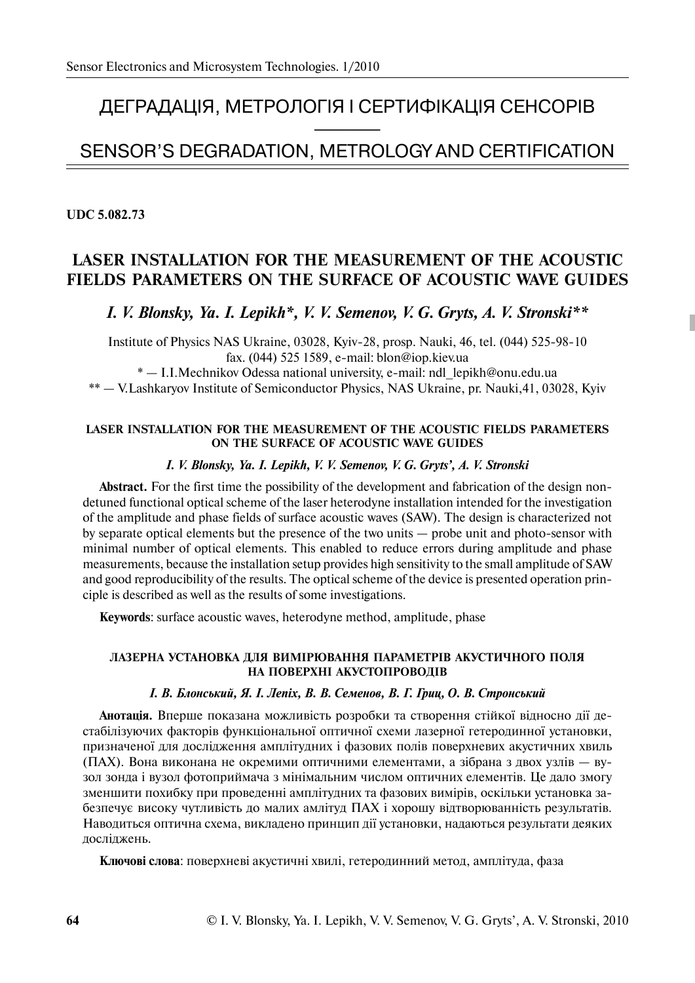# ДЕГРАДАЦІЯ, МЕТРОЛОГІЯ І СЕРТИФІКАЦІЯ СЕНСОРІВ<br>————————————————————

# SENSOR'S DEGRADATION, METROLOGY AND CERTIFICATION

**UDC 5.082.73** 

# **LASER INSTALLATION FOR THE MEASUREMENT OF THE ACOUSTIC FIELDS PARAMETERS ON THE SURFACE OF ACOUSTIC WAVE GUIDES**

*I. V. Blonsky, Ya. I. Lepikh\*, V. V. Semenov, V. G. Gryts, A. V. Stronski\*\** 

Institute of Physics NAS Ukraine, 03028, Kyiv-28, prosp. Nauki, 46, tel. (044) 525-98-10 fax. (044) 525 1589, e-mail: blon@iop.kiev.ua

\* — I.I.Mechnikov Odessa national university, e-mail: ndl\_lepikh@onu.edu.ua

\*\* — V.Lashkaryov Institute of Semiconductor Physics, NAS Ukraine, pr. Nauki,41, 03028, Kyiv

## **LASER INSTALLATION FOR THE MEASUREMENT OF THE ACOUSTIC FIELDS PARAMETERS ON THE SURFACE OF ACOUSTIC WAVE GUIDES**

### *I. V. Blonsky, Ya. I. Lepikh, V. V. Semenov, V. G. Gryts', A. V. Stronski*

**Abstract.** For the first time the possibility of the development and fabrication of the design nondetuned functional optical scheme of the laser heterodyne installation intended for the investigation of the amplitude and phase fields of surface acoustic waves (SAW). The design is characterized not by separate optical elements but the presence of the two units — probe unit and photo-sensor with minimal number of optical elements. This enabled to reduce errors during amplitude and phase measurements, because the installation setup provides high sensitivity to the small amplitude of SAW and good reproducibility of the results. The optical scheme of the device is presented operation principle is described as well as the results of some investigations.

**Keywords**: surface acoustic waves, heterodyne method, amplitude, phase

## ЛАЗЕРНА УСТАНОВКА ДЛЯ ВИМІРЮВАННЯ ПАРАМЕТРІВ АКУСТИЧНОГО ПОЛЯ НА ПОВЕРХНІ АКУСТОПРОВОДІВ

# *I. В. Блонський, Я. І. Лепіх, В. В. Семенов, В. Г. Гриц, О. В. Стронський*

**Анотація.** Вперше показана можливість розробки та створення стійкої відносно дії дестабілізуючих факторів функціональної оптичної схеми лазерної гетеродинної установки, призначеної для дослідження амплітудних і фазових полів поверхневих акустичних хвиль (ПАХ). Вона виконана не окремими оптичними елементами, а зібрана з двох узлів — вузол зонда і вузол фотоприймача з мінімальним числом оптичних елементів. Це дало змогу зменшити похибку при проведенні амплітудних та фазових вимірів, оскільки установка забезпечує високу чутливість до малих амлітуд ПАХ і хорошу відтворюванність результатів. Наводиться оптична схема, викладено принцип дії установки, надаються результати деяких лослілжень.

**Ключові слова**: поверхневі акустичні хвилі, гетеродинний метод, амплітуда, фаза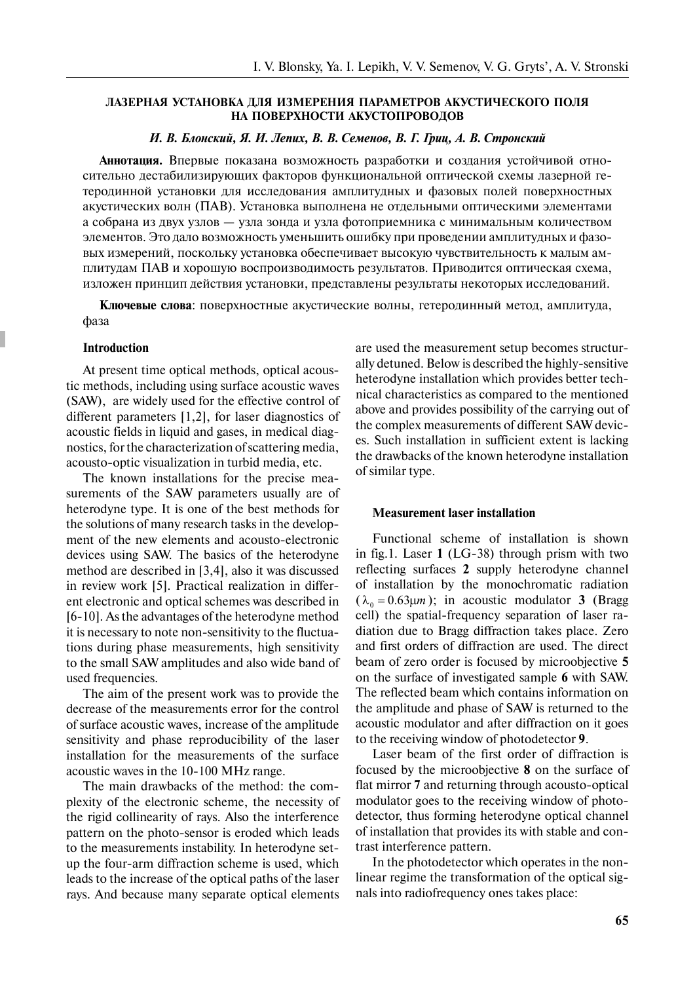### ЛАЗЕРНАЯ УСТАНОВКА ДЛЯ ИЗМЕРЕНИЯ ПАРАМЕТРОВ АКУСТИЧЕСКОГО ПОЛЯ НА ПОВЕРХНОСТИ АКУСТОПРОВОДОВ

*È. Â. Áëîíñêèé, ß. È. Ëåïèõ, Â. Â. Ñåìåíîâ, Â. Ã. Ãðèö, À. Â. Ñòðîíñêèé* 

**Аннотация.** Впервые показана возможность разработки и создания устойчивой относительно дестабилизирующих факторов функциональной оптической схемы лазерной гетеродинной установки для исследования амплитудных и фазовых полей поверхностных акустических волн (ПАВ). Установка выполнена не отдельными оптическими элементами а собрана из двух узлов — узла зонда и узла фотоприемника с минимальным количеством элементов. Это дало возможность уменьшить ошибку при проведении амплитудных и фазовых измерений, поскольку установка обеспечивает высокую чувствительность к малым амплитудам ПАВ и хорошую воспроизводимость результатов. Приводится оптическая схема, изложен принцип действия установки, представлены результаты некоторых исследований.

**Ключевые слова**: поверхностные акустические волны, гетеродинный метод, амплитуда, фаза

#### **Introduction**

At present time optical methods, optical acoustic methods, including using surface acoustic waves (SAW), are widely used for the effective control of different parameters [1,2], for laser diagnostics of acoustic fields in liquid and gases, in medical diagnostics, for the characterization of scattering media, acousto-optic visualization in turbid media, etc.

The known installations for the precise measurements of the SAW parameters usually are of heterodyne type. It is one of the best methods for the solutions of many research tasks in the development of the new elements and acousto-electronic devices using SAW. The basics of the heterodyne method are described in [3,4], also it was discussed in review work [5]. Practical realization in different electronic and optical schemes was described in [6-10]. As the advantages of the heterodyne method it is necessary to note non-sensitivity to the fluctuations during phase measurements, high sensitivity to the small SAW amplitudes and also wide band of used frequencies.

The aim of the present work was to provide the decrease of the measurements error for the control of surface acoustic waves, increase of the amplitude sensitivity and phase reproducibility of the laser installation for the measurements of the surface acoustic waves in the 10-100 MHz range.

The main drawbacks of the method: the complexity of the electronic scheme, the necessity of the rigid collinearity of rays. Also the interference pattern on the photo-sensor is eroded which leads to the measurements instability. In heterodyne setup the four-arm diffraction scheme is used, which leads to the increase of the optical paths of the laser rays. And because many separate optical elements are used the measurement setup becomes structurally detuned. Below is described the highly-sensitive heterodyne installation which provides better technical characteristics as compared to the mentioned above and provides possibility of the carrying out of the complex measurements of different SAW devices. Such installation in sufficient extent is lacking the drawbacks of the known heterodyne installation of similar type.

#### **Measurement laser installation**

Functional scheme of installation is shown in fig.1. Laser **1** (LG-38) through prism with two reflecting surfaces **2** supply heterodyne channel of installation by the monochromatic radiation  $(\lambda_0 = 0.63 \mu m)$ ; in acoustic modulator **3** (Bragg cell) the spatial-frequency separation of laser radiation due to Bragg diffraction takes place. Zero and first orders of diffraction are used. The direct beam of zero order is focused by microobjective **5** on the surface of investigated sample **6** with SAW. The reflected beam which contains information on the amplitude and phase of SAW is returned to the acoustic modulator and after diffraction on it goes to the receiving window of photodetector **9**.

Laser beam of the first order of diffraction is focused by the microobjective **8** on the surface of flat mirror **7** and returning through acousto-optical modulator goes to the receiving window of photodetector, thus forming heterodyne optical channel of installation that provides its with stable and contrast interference pattern.

In the photodetector which operates in the nonlinear regime the transformation of the optical signals into radiofrequency ones takes place: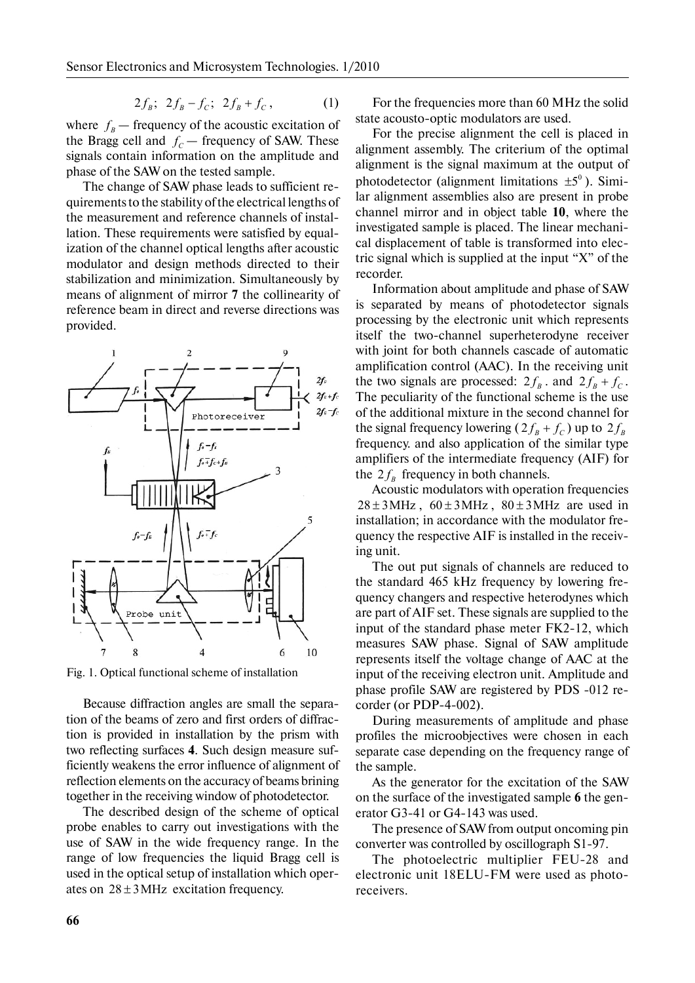$$
2f_B; \ \ 2f_B - f_C; \ \ 2f_B + f_C, \tag{1}
$$

where  $f<sub>B</sub>$  — frequency of the acoustic excitation of the Bragg cell and  $f_c$  — frequency of SAW. These signals contain information on the amplitude and phase of the SAW on the tested sample.

The change of SAW phase leads to sufficient requirements to the stability of the electrical lengths of the measurement and reference channels of installation. These requirements were satisfied by equalization of the channel optical lengths after acoustic modulator and design methods directed to their stabilization and minimization. Simultaneously by means of alignment of mirror **7** the collinearity of reference beam in direct and reverse directions was provided.



Fig. 1. Optical functional scheme of installation

Because diffraction angles are small the separation of the beams of zero and first orders of diffraction is provided in installation by the prism with two reflecting surfaces **4**. Such design measure sufficiently weakens the error influence of alignment of reflection elements on the accuracy of beams brining together in the receiving window of photodetector.

The described design of the scheme of optical probe enables to carry out investigations with the use of SAW in the wide frequency range. In the range of low frequencies the liquid Bragg cell is used in the optical setup of installation which operates on  $28 \pm 3$  MHz excitation frequency.

For the frequencies more than 60 MHz the solid state acousto-optic modulators are used.

For the precise alignment the cell is placed in alignment assembly. The criterium of the optimal alignment is the signal maximum at the output of photodetector (alignment limitations  $\pm 5^\circ$ ). Similar alignment assemblies also are present in probe channel mirror and in object table **10**, where the investigated sample is placed. The linear mechanical displacement of table is transformed into electric signal which is supplied at the input "X" of the recorder.

Information about amplitude and phase of SAW is separated by means of photodetector signals processing by the electronic unit which represents itself the two-channel superheterodyne receiver with joint for both channels cascade of automatic amplification control (AAC). In the receiving unit the two signals are processed:  $2f<sub>B</sub>$ . and  $2f<sub>B</sub> + f<sub>C</sub>$ . The peculiarity of the functional scheme is the use of the additional mixture in the second channel for the signal frequency lowering  $(2f<sub>B</sub> + f<sub>C</sub>)$  up to  $2f<sub>B</sub>$ frequency. and also application of the similar type amplifiers of the intermediate frequency (AIF) for the  $2 f<sub>B</sub>$  frequency in both channels.

Acoustic modulators with operation frequencies  $28 \pm 3$  MHz,  $60 \pm 3$  MHz,  $80 \pm 3$  MHz are used in installation; in accordance with the modulator frequency the respective AIF is installed in the receiving unit.

The out put signals of channels are reduced to the standard 465 kHz frequency by lowering frequency changers and respective heterodynes which are part of AIF set. These signals are supplied to the input of the standard phase meter FK2-12, which measures SAW phase. Signal of SAW amplitude represents itself the voltage change of AAC at the input of the receiving electron unit. Amplitude and phase profile SAW are registered by PDS -012 recorder (or PDP-4-002).

During measurements of amplitude and phase profiles the microobjectives were chosen in each separate case depending on the frequency range of the sample.

As the generator for the excitation of the SAW on the surface of the investigated sample **6** the generator G3-41 or G4-143 was used.

The presence of SAW from output oncoming pin converter was controlled by oscillograph S1-97.

The photoelectric multiplier FEU-28 and electronic unit 18ELU-FM were used as photoreceivers.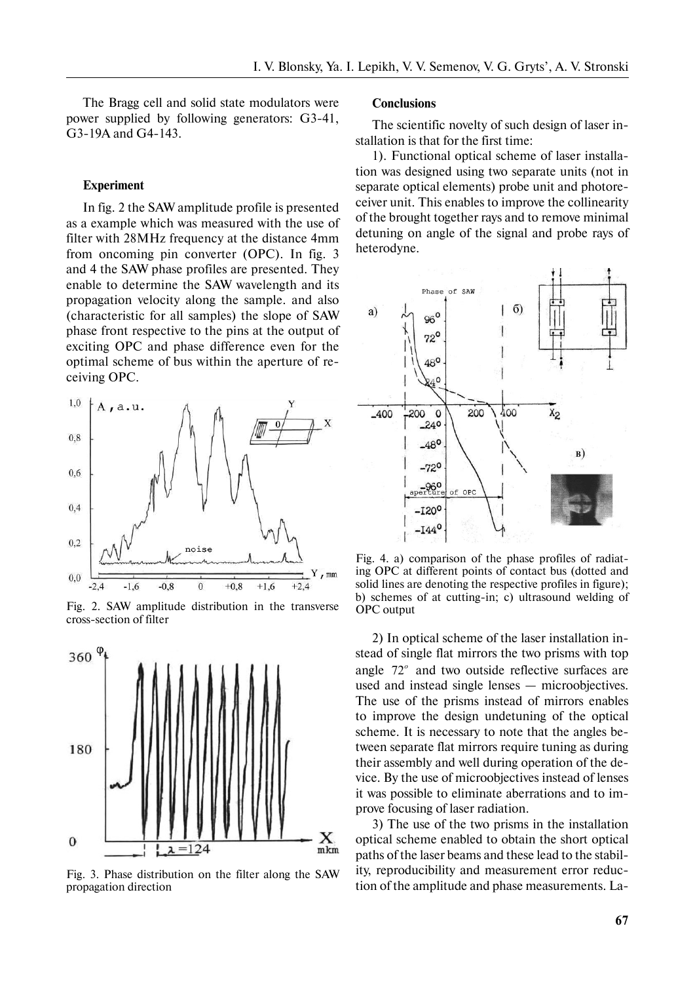The Bragg cell and solid state modulators were power supplied by following generators: G3-41, G3-19A and G4-143.

#### **Experiment**

In fig. 2 the SAW amplitude profile is presented as a example which was measured with the use of filter with 28MHz frequency at the distance 4mm from oncoming pin converter (OPC). In fig. 3 and 4 the SAW phase profiles are presented. They enable to determine the SAW wavelength and its propagation velocity along the sample. and also (characteristic for all samples) the slope of SAW phase front respective to the pins at the output of exciting OPC and phase difference even for the optimal scheme of bus within the aperture of receiving OPC.



Fig. 2. SAW amplitude distribution in the transverse cross-section of filter



Fig. 3. Phase distribution on the filter along the SAW propagation direction

#### **Conclusions**

The scientific novelty of such design of laser installation is that for the first time:

1). Functional optical scheme of laser installation was designed using two separate units (not in separate optical elements) probe unit and photoreceiver unit. This enables to improve the collinearity of the brought together rays and to remove minimal detuning on angle of the signal and probe rays of heterodyne.



Fig. 4. a) comparison of the phase profiles of radiating OPC at different points of contact bus (dotted and solid lines are denoting the respective profiles in figure); b) schemes of at cutting-in; c) ultrasound welding of OPC output

2) In optical scheme of the laser installation instead of single flat mirrors the two prisms with top angle 72*<sup>o</sup>* and two outside reflective surfaces are used and instead single lenses — microobjectives. The use of the prisms instead of mirrors enables to improve the design undetuning of the optical scheme. It is necessary to note that the angles between separate flat mirrors require tuning as during their assembly and well during operation of the device. By the use of microobjectives instead of lenses it was possible to eliminate aberrations and to improve focusing of laser radiation.

3) The use of the two prisms in the installation optical scheme enabled to obtain the short optical paths of the laser beams and these lead to the stability, reproducibility and measurement error reduction of the amplitude and phase measurements. La